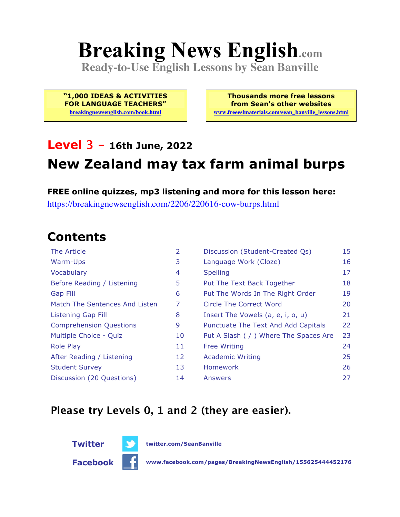# **Breaking News English.com**

**Ready-to-Use English Lessons by Sean Banville**

**"1,000 IDEAS & ACTIVITIES FOR LANGUAGE TEACHERS"**

**breakingnewsenglish.com/book.html**

**Thousands more free lessons from Sean's other websites www.freeeslmaterials.com/sean\_banville\_lessons.html**

#### **Level 3 - 16th June, 2022**

### **New Zealand may tax farm animal burps**

**FREE online quizzes, mp3 listening and more for this lesson here:** https://breakingnewsenglish.com/2206/220616-cow-burps.html

#### **Contents**

| The Article                    | 2  | Discussion (Student-Created Qs)        | 15 |
|--------------------------------|----|----------------------------------------|----|
| Warm-Ups                       | 3  | Language Work (Cloze)                  | 16 |
| Vocabulary                     | 4  | <b>Spelling</b>                        | 17 |
| Before Reading / Listening     | 5  | Put The Text Back Together             | 18 |
| <b>Gap Fill</b>                | 6  | Put The Words In The Right Order       | 19 |
| Match The Sentences And Listen | 7  | Circle The Correct Word                | 20 |
| Listening Gap Fill             | 8  | Insert The Vowels (a, e, i, o, u)      | 21 |
| <b>Comprehension Questions</b> | 9  | Punctuate The Text And Add Capitals    | 22 |
| Multiple Choice - Quiz         | 10 | Put A Slash ( / ) Where The Spaces Are | 23 |
| <b>Role Play</b>               | 11 | <b>Free Writing</b>                    | 24 |
| After Reading / Listening      | 12 | <b>Academic Writing</b>                | 25 |
| <b>Student Survey</b>          | 13 | <b>Homework</b>                        | 26 |
| Discussion (20 Questions)      | 14 | Answers                                | 27 |

#### **Please try Levels 0, 1 and 2 (they are easier).**



**Twitter twitter.com/SeanBanville**

**Facebook www.facebook.com/pages/BreakingNewsEnglish/155625444452176**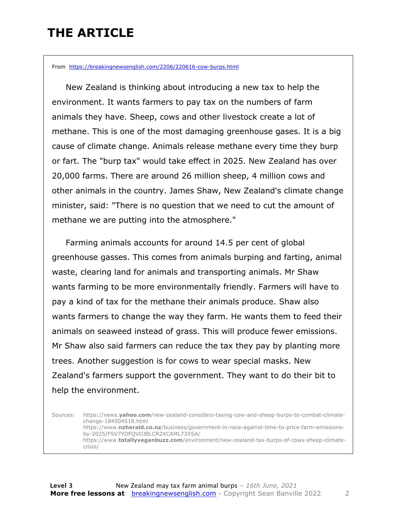### **THE ARTICLE**

From https://breakingnewsenglish.com/2206/220616-cow-burps.html

 New Zealand is thinking about introducing a new tax to help the environment. It wants farmers to pay tax on the numbers of farm animals they have. Sheep, cows and other livestock create a lot of methane. This is one of the most damaging greenhouse gases. It is a big cause of climate change. Animals release methane every time they burp or fart. The "burp tax" would take effect in 2025. New Zealand has over 20,000 farms. There are around 26 million sheep, 4 million cows and other animals in the country. James Shaw, New Zealand's climate change minister, said: "There is no question that we need to cut the amount of methane we are putting into the atmosphere."

 Farming animals accounts for around 14.5 per cent of global greenhouse gasses. This comes from animals burping and farting, animal waste, clearing land for animals and transporting animals. Mr Shaw wants farming to be more environmentally friendly. Farmers will have to pay a kind of tax for the methane their animals produce. Shaw also wants farmers to change the way they farm. He wants them to feed their animals on seaweed instead of grass. This will produce fewer emissions. Mr Shaw also said farmers can reduce the tax they pay by planting more trees. Another suggestion is for cows to wear special masks. New Zealand's farmers support the government. They want to do their bit to help the environment.

Sources: https://news.**yahoo.com**/new-zealand-considers-taxing-cow-and-sheep-burps-to-combat-climatechange-184504518.html https://www.**nzherald.co.nz**/business/government-in-race-against-time-to-price-farm-emissionsby-2025/FSV7YDFQVOJBLCR2XCAML73XSA/ https://www.**totallyveganbuzz.com**/environment/new-zealand-tax-burps-of-cows-sheep-climatecrisis/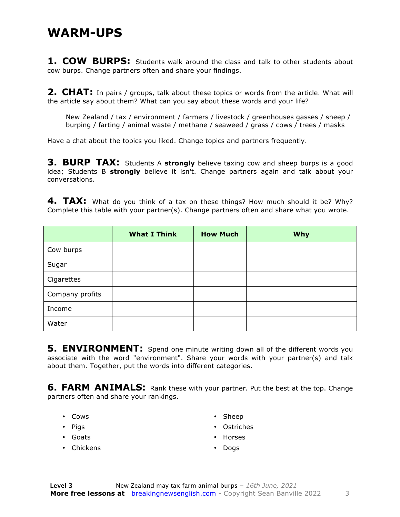#### **WARM-UPS**

**1. COW BURPS:** Students walk around the class and talk to other students about cow burps. Change partners often and share your findings.

**2. CHAT:** In pairs / groups, talk about these topics or words from the article. What will the article say about them? What can you say about these words and your life?

New Zealand / tax / environment / farmers / livestock / greenhouses gasses / sheep / burping / farting / animal waste / methane / seaweed / grass / cows / trees / masks

Have a chat about the topics you liked. Change topics and partners frequently.

**3. BURP TAX:** Students A strongly believe taxing cow and sheep burps is a good idea; Students B **strongly** believe it isn't. Change partners again and talk about your conversations.

**4. TAX:** What do you think of a tax on these things? How much should it be? Why? Complete this table with your partner(s). Change partners often and share what you wrote.

|                 | <b>What I Think</b> | <b>How Much</b> | <b>Why</b> |
|-----------------|---------------------|-----------------|------------|
| Cow burps       |                     |                 |            |
| Sugar           |                     |                 |            |
| Cigarettes      |                     |                 |            |
| Company profits |                     |                 |            |
| Income          |                     |                 |            |
| Water           |                     |                 |            |

**5. ENVIRONMENT:** Spend one minute writing down all of the different words you associate with the word "environment". Share your words with your partner(s) and talk about them. Together, put the words into different categories.

**6. FARM ANIMALS:** Rank these with your partner. Put the best at the top. Change partners often and share your rankings.

- Cows
- Pigs
- Goats
- Chickens
- Sheep
- Ostriches
- Horses
- Dogs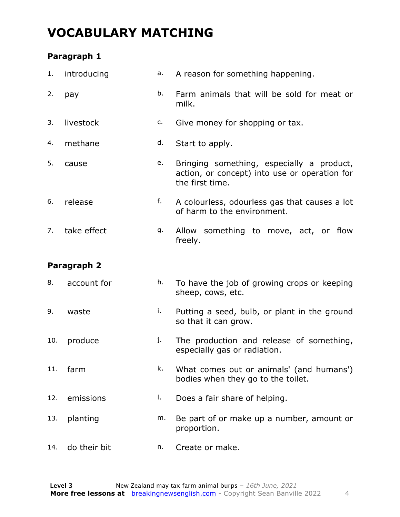### **VOCABULARY MATCHING**

#### **Paragraph 1**

| 1.  | introducing | a. | A reason for something happening.                                                                             |
|-----|-------------|----|---------------------------------------------------------------------------------------------------------------|
| 2.  | pay         | b. | Farm animals that will be sold for meat or<br>milk.                                                           |
| 3.  | livestock   | c. | Give money for shopping or tax.                                                                               |
| 4.  | methane     | d. | Start to apply.                                                                                               |
| 5.  | cause       | e. | Bringing something, especially a product,<br>action, or concept) into use or operation for<br>the first time. |
| 6.  | release     | f. | A colourless, odourless gas that causes a lot<br>of harm to the environment.                                  |
| 7.  | take effect | g. | Allow something to move, act, or flow<br>freely.                                                              |
|     | Paragraph 2 |    |                                                                                                               |
| 8.  | account for | h. | To have the job of growing crops or keeping<br>sheep, cows, etc.                                              |
|     |             |    |                                                                                                               |
| 9.  | waste       | i. | Putting a seed, bulb, or plant in the ground<br>so that it can grow.                                          |
| 10. | produce     | j. | The production and release of something,<br>especially gas or radiation.                                      |
| 11. | farm        | k. | What comes out or animals' (and humans')<br>bodies when they go to the toilet.                                |
| 12. | emissions   | I. | Does a fair share of helping.                                                                                 |
| 13. | planting    | m. | Be part of or make up a number, amount or<br>proportion.                                                      |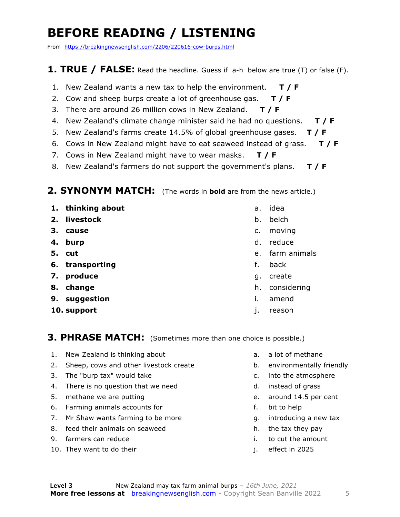### **BEFORE READING / LISTENING**

From https://breakingnewsenglish.com/2206/220616-cow-burps.html

#### **1. TRUE / FALSE:** Read the headline. Guess if a-h below are true (T) or false (F).

- 1. New Zealand wants a new tax to help the environment. **T / F**
- 2. Cow and sheep burps create a lot of greenhouse gas. **T / F**
- 3. There are around 26 million cows in New Zealand. **T / F**
- 4. New Zealand's climate change minister said he had no questions. **T / F**
- 5. New Zealand's farms create 14.5% of global greenhouse gases. **T / F**
- 6. Cows in New Zealand might have to eat seaweed instead of grass. **T / F**
- 7. Cows in New Zealand might have to wear masks. **T / F**
- 8. New Zealand's farmers do not support the government's plans. **T / F**

#### **2. SYNONYM MATCH:** (The words in **bold** are from the news article.)

- **1. thinking about**
- **2. livestock**
- **3. cause**
- **4. burp**
- **5. cut**
- **6. transporting**
- **7. produce**
- **8. change**
- **9. suggestion**
- **10. support**
- a. idea
- b. belch
- c. moving
- d. reduce
- e. farm animals
- f. back
- g. create
- h. considering
- i. amend
- j. reason

#### **3. PHRASE MATCH:** (Sometimes more than one choice is possible.)

- 1. New Zealand is thinking about
- 2. Sheep, cows and other livestock create
- 3. The "burp tax" would take
- 4. There is no question that we need
- 5. methane we are putting
- 6. Farming animals accounts for
- 7. Mr Shaw wants farming to be more
- 8. feed their animals on seaweed
- 9. farmers can reduce
- 10. They want to do their
- a. a lot of methane
- b. environmentally friendly
- c. into the atmosphere
- d. instead of grass
- e. around 14.5 per cent
- f. bit to help
- g. introducing a new tax
- h. the tax they pay
- i. to cut the amount
- j. effect in 2025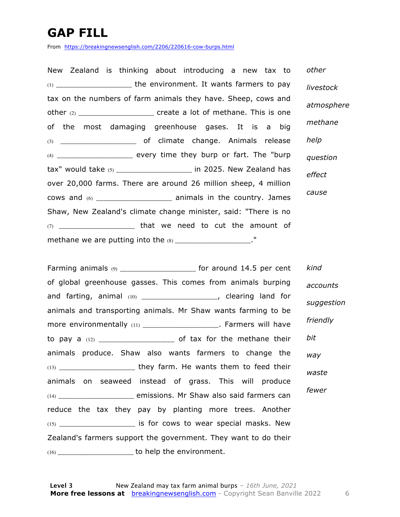### **GAP FILL**

From https://breakingnewsenglish.com/2206/220616-cow-burps.html

New Zealand is thinking about introducing a new tax to (1) \_\_\_\_\_\_\_\_\_\_\_\_\_\_\_\_\_\_\_\_\_ the environment. It wants farmers to pay tax on the numbers of farm animals they have. Sheep, cows and other  $(2)$  \_\_\_\_\_\_\_\_\_\_\_\_\_\_\_\_\_\_\_\_\_ create a lot of methane. This is one of the most damaging greenhouse gases. It is a big (3) \_\_\_\_\_\_\_\_\_\_\_\_\_\_\_\_\_\_\_\_\_ of climate change. Animals release (4) \_\_\_\_\_\_\_\_\_\_\_\_\_\_\_\_\_\_\_\_\_ every time they burp or fart. The "burp tax" would take (5) \_\_\_\_\_\_\_\_\_\_\_\_\_\_\_\_\_\_\_\_\_ in 2025. New Zealand has over 20,000 farms. There are around 26 million sheep, 4 million cows and (6) \_\_\_\_\_\_\_\_\_\_\_\_\_\_\_\_\_\_\_\_\_ animals in the country. James Shaw, New Zealand's climate change minister, said: "There is no (7) \_\_\_\_\_\_\_\_\_\_\_\_\_\_\_\_\_\_\_\_\_ that we need to cut the amount of methane we are putting into the  $(8)$  \_\_\_\_\_\_\_\_\_\_\_\_\_\_\_\_\_\_\_\_." *other livestock atmosphere methane help question effect cause*

Farming animals (9) \_\_\_\_\_\_\_\_\_\_\_\_\_\_\_\_\_\_\_\_\_\_\_ for around 14.5 per cent of global greenhouse gasses. This comes from animals burping and farting, animal (10) \_\_\_\_\_\_\_\_\_\_\_\_\_\_\_\_\_\_\_\_\_, clearing land for animals and transporting animals. Mr Shaw wants farming to be more environmentally (11) \_\_\_\_\_\_\_\_\_\_\_\_\_\_\_\_\_\_\_\_\_. Farmers will have to pay a  $(12)$  \_\_\_\_\_\_\_\_\_\_\_\_\_\_\_\_\_\_\_\_\_\_\_\_\_ of tax for the methane their animals produce. Shaw also wants farmers to change the (13) \_\_\_\_\_\_\_\_\_\_\_\_\_\_\_\_\_\_\_\_\_ they farm. He wants them to feed their animals on seaweed instead of grass. This will produce (14) \_\_\_\_\_\_\_\_\_\_\_\_\_\_\_\_\_\_\_\_\_ emissions. Mr Shaw also said farmers can reduce the tax they pay by planting more trees. Another  $(15)$  \_\_\_\_\_\_\_\_\_\_\_\_\_\_\_\_\_\_\_\_\_\_ is for cows to wear special masks. New Zealand's farmers support the government. They want to do their (16) \_\_\_\_\_\_\_\_\_\_\_\_\_\_\_\_\_\_\_\_\_ to help the environment. *kind accounts suggestion friendly bit way waste fewer*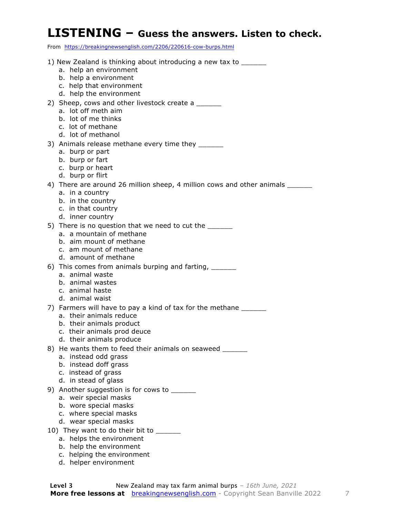#### **LISTENING – Guess the answers. Listen to check.**

From https://breakingnewsenglish.com/2206/220616-cow-burps.html

| 1) New Zealand is thinking about introducing a new tax to ______               |
|--------------------------------------------------------------------------------|
| a. help an environment                                                         |
| b. help a environment                                                          |
| c. help that environment                                                       |
| d. help the environment                                                        |
| 2) Sheep, cows and other livestock create a                                    |
| a. lot off meth aim                                                            |
| b. lot of me thinks<br>c. lot of methane                                       |
| d. lot of methanol                                                             |
| 3) Animals release methane every time they ______                              |
| a. burp or part                                                                |
| b. burp or fart                                                                |
| c. burp or heart                                                               |
| d. burp or flirt                                                               |
| 4) There are around 26 million sheep, 4 million cows and other animals _______ |
| a. in a country<br>b. in the country                                           |
| c. in that country                                                             |
| d. inner country                                                               |
| 5) There is no question that we need to cut the                                |
| a. a mountain of methane                                                       |
| b. aim mount of methane                                                        |
| c. am mount of methane<br>d. amount of methane                                 |
| 6) This comes from animals burping and farting, ______                         |
| a. animal waste                                                                |
| b. animal wastes                                                               |
| c. animal haste                                                                |
| d. animal waist                                                                |
| 7) Farmers will have to pay a kind of tax for the methane                      |
| a. their animals reduce                                                        |
| b. their animals product<br>c. their animals prod deuce                        |
| d. their animals produce                                                       |
| 8) He wants them to feed their animals on seaweed ______                       |
| a. instead odd grass                                                           |
| b. instead doff grass                                                          |
| c. instead of grass                                                            |
| d. in stead of glass                                                           |
| 9) Another suggestion is for cows to ______<br>a. weir special masks           |
| b. wore special masks                                                          |
| c. where special masks                                                         |
| d. wear special masks                                                          |
| 10) They want to do their bit to _______                                       |
| a. helps the environment                                                       |
|                                                                                |
| b. help the environment<br>c. helping the environment                          |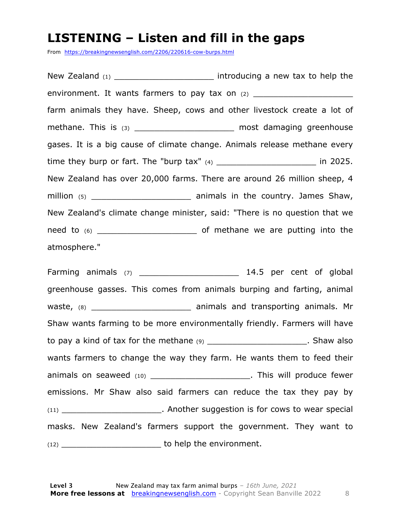#### **LISTENING – Listen and fill in the gaps**

From https://breakingnewsenglish.com/2206/220616-cow-burps.html

New Zealand (1) \_\_\_\_\_\_\_\_\_\_\_\_\_\_\_\_\_\_\_\_\_\_\_\_\_ introducing a new tax to help the environment. It wants farmers to pay tax on  $(2)$  \_\_\_\_\_\_\_\_\_\_\_\_\_\_\_\_\_\_\_\_\_\_\_\_\_\_\_\_\_\_\_ farm animals they have. Sheep, cows and other livestock create a lot of methane. This is (3) \_\_\_\_\_\_\_\_\_\_\_\_\_\_\_\_\_\_\_\_\_\_\_ most damaging greenhouse gases. It is a big cause of climate change. Animals release methane every time they burp or fart. The "burp tax"  $(4)$  \_\_\_\_\_\_\_\_\_\_\_\_\_\_\_\_\_\_\_\_\_\_\_\_\_\_\_ in 2025. New Zealand has over 20,000 farms. There are around 26 million sheep, 4 million (5) \_\_\_\_\_\_\_\_\_\_\_\_\_\_\_\_\_\_\_\_ animals in the country. James Shaw, New Zealand's climate change minister, said: "There is no question that we need to (6) \_\_\_\_\_\_\_\_\_\_\_\_\_\_\_\_\_\_\_\_ of methane we are putting into the atmosphere."

Farming animals (7) \_\_\_\_\_\_\_\_\_\_\_\_\_\_\_\_\_\_\_\_ 14.5 per cent of global greenhouse gasses. This comes from animals burping and farting, animal waste, (8) \_\_\_\_\_\_\_\_\_\_\_\_\_\_\_\_\_\_\_\_ animals and transporting animals. Mr Shaw wants farming to be more environmentally friendly. Farmers will have to pay a kind of tax for the methane  $(9)$  \_\_\_\_\_\_\_\_\_\_\_\_\_\_\_\_\_\_\_\_\_\_\_. Shaw also wants farmers to change the way they farm. He wants them to feed their animals on seaweed (10) \_\_\_\_\_\_\_\_\_\_\_\_\_\_\_\_\_\_\_\_\_\_\_\_\_. This will produce fewer emissions. Mr Shaw also said farmers can reduce the tax they pay by (11) **Another suggestion is for cows to wear special** masks. New Zealand's farmers support the government. They want to (12) \_\_\_\_\_\_\_\_\_\_\_\_\_\_\_\_\_\_\_\_ to help the environment.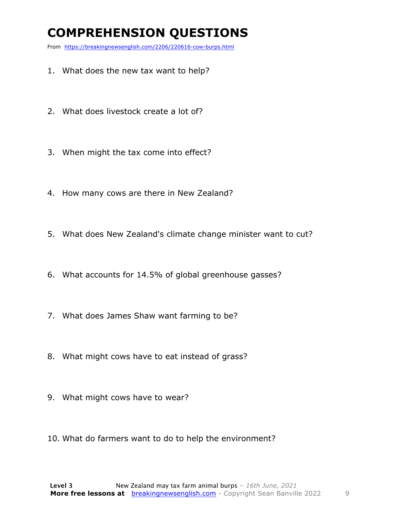### **COMPREHENSION QUESTIONS**

From https://breakingnewsenglish.com/2206/220616-cow-burps.html

- 1. What does the new tax want to help?
- 2. What does livestock create a lot of?
- 3. When might the tax come into effect?
- 4. How many cows are there in New Zealand?
- 5. What does New Zealand's climate change minister want to cut?
- 6. What accounts for 14.5% of global greenhouse gasses?
- 7. What does James Shaw want farming to be?
- 8. What might cows have to eat instead of grass?
- 9. What might cows have to wear?
- 10. What do farmers want to do to help the environment?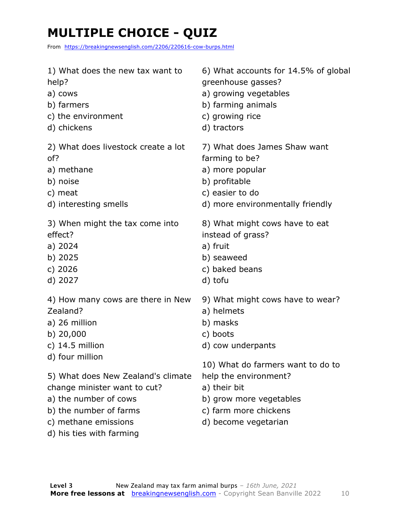### **MULTIPLE CHOICE - QUIZ**

From https://breakingnewsenglish.com/2206/220616-cow-burps.html

| 1) What does the new tax want to    | 6) What accounts for 14.5% of global |
|-------------------------------------|--------------------------------------|
| help?                               | greenhouse gasses?                   |
| a) cows                             | a) growing vegetables                |
| b) farmers                          | b) farming animals                   |
| c) the environment                  | c) growing rice                      |
| d) chickens                         | d) tractors                          |
| 2) What does livestock create a lot | 7) What does James Shaw want         |
| of?                                 | farming to be?                       |
| a) methane                          | a) more popular                      |
| b) noise                            | b) profitable                        |
| c) meat                             | c) easier to do                      |
| d) interesting smells               | d) more environmentally friendly     |
| 3) When might the tax come into     | 8) What might cows have to eat       |
| effect?                             | instead of grass?                    |
| a) 2024                             | a) fruit                             |
| b) 2025                             | b) seaweed                           |
| c) 2026                             | c) baked beans                       |
| d) 2027                             | d) tofu                              |
| 4) How many cows are there in New   | 9) What might cows have to wear?     |
| Zealand?                            | a) helmets                           |
| a) 26 million                       | b) masks                             |
| b) $20,000$                         | c) boots                             |
| c) $14.5$ million                   | d) cow underpants                    |
| d) four million                     | 10) What do farmers want to do to    |
| 5) What does New Zealand's climate  | help the environment?                |
| change minister want to cut?        | a) their bit                         |
| a) the number of cows               | b) grow more vegetables              |
| b) the number of farms              | c) farm more chickens                |

- b) the number of farms
- c) methane emissions
- d) his ties with farming

d) become vegetarian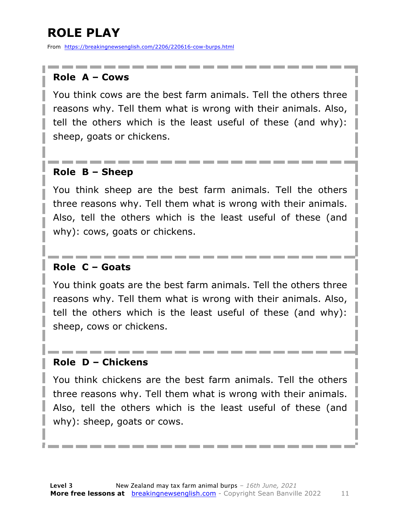### **ROLE PLAY**

From https://breakingnewsenglish.com/2206/220616-cow-burps.html

#### **Role A – Cows**

You think cows are the best farm animals. Tell the others three reasons why. Tell them what is wrong with their animals. Also, tell the others which is the least useful of these (and why): sheep, goats or chickens.

#### **Role B – Sheep**

You think sheep are the best farm animals. Tell the others three reasons why. Tell them what is wrong with their animals. Also, tell the others which is the least useful of these (and why): cows, goats or chickens.

#### **Role C – Goats**

You think goats are the best farm animals. Tell the others three reasons why. Tell them what is wrong with their animals. Also, tell the others which is the least useful of these (and why): sheep, cows or chickens.

#### **Role D – Chickens**

You think chickens are the best farm animals. Tell the others three reasons why. Tell them what is wrong with their animals. Also, tell the others which is the least useful of these (and why): sheep, goats or cows.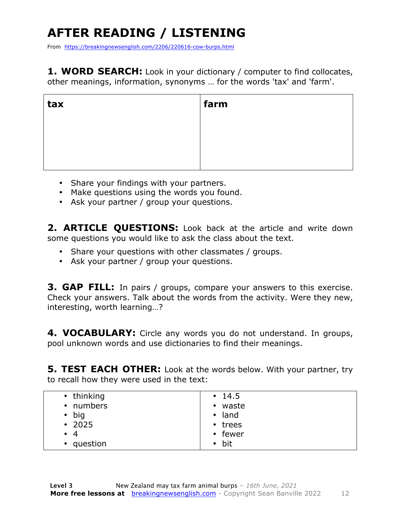## **AFTER READING / LISTENING**

From https://breakingnewsenglish.com/2206/220616-cow-burps.html

**1. WORD SEARCH:** Look in your dictionary / computer to find collocates, other meanings, information, synonyms … for the words 'tax' and 'farm'.

| tax | farm |
|-----|------|
|     |      |
|     |      |
|     |      |

- Share your findings with your partners.
- Make questions using the words you found.
- Ask your partner / group your questions.

2. **ARTICLE OUESTIONS:** Look back at the article and write down some questions you would like to ask the class about the text.

- Share your questions with other classmates / groups.
- Ask your partner / group your questions.

**3. GAP FILL:** In pairs / groups, compare your answers to this exercise. Check your answers. Talk about the words from the activity. Were they new, interesting, worth learning…?

**4. VOCABULARY:** Circle any words you do not understand. In groups, pool unknown words and use dictionaries to find their meanings.

**5. TEST EACH OTHER:** Look at the words below. With your partner, try to recall how they were used in the text:

| • thinking    | $\cdot$ 14.5   |
|---------------|----------------|
| • numbers     | • waste        |
| $\bullet$ big | $\bullet$ land |
| $\cdot$ 2025  | • trees        |
| $\bullet$ 4   | • fewer        |
| • question    | $\bullet$ bit  |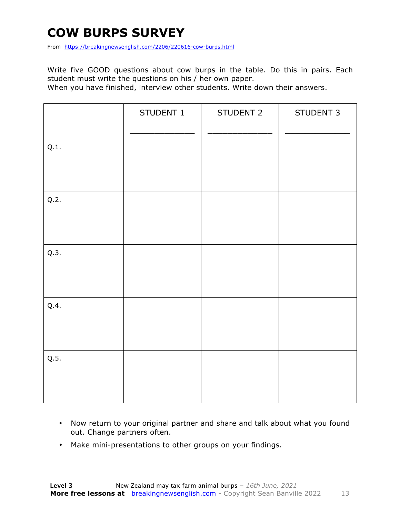### **COW BURPS SURVEY**

From https://breakingnewsenglish.com/2206/220616-cow-burps.html

Write five GOOD questions about cow burps in the table. Do this in pairs. Each student must write the questions on his / her own paper.

When you have finished, interview other students. Write down their answers.

|      | STUDENT 1 | STUDENT 2 | STUDENT 3 |
|------|-----------|-----------|-----------|
| Q.1. |           |           |           |
| Q.2. |           |           |           |
| Q.3. |           |           |           |
| Q.4. |           |           |           |
| Q.5. |           |           |           |

- Now return to your original partner and share and talk about what you found out. Change partners often.
- Make mini-presentations to other groups on your findings.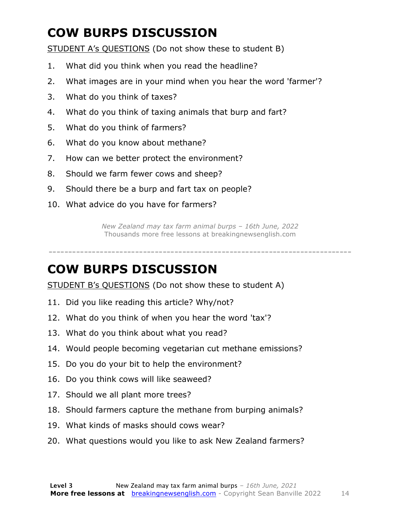### **COW BURPS DISCUSSION**

STUDENT A's QUESTIONS (Do not show these to student B)

- 1. What did you think when you read the headline?
- 2. What images are in your mind when you hear the word 'farmer'?
- 3. What do you think of taxes?
- 4. What do you think of taxing animals that burp and fart?
- 5. What do you think of farmers?
- 6. What do you know about methane?
- 7. How can we better protect the environment?
- 8. Should we farm fewer cows and sheep?
- 9. Should there be a burp and fart tax on people?
- 10. What advice do you have for farmers?

*New Zealand may tax farm animal burps – 16th June, 2022* Thousands more free lessons at breakingnewsenglish.com

-----------------------------------------------------------------------------

#### **COW BURPS DISCUSSION**

STUDENT B's QUESTIONS (Do not show these to student A)

- 11. Did you like reading this article? Why/not?
- 12. What do you think of when you hear the word 'tax'?
- 13. What do you think about what you read?
- 14. Would people becoming vegetarian cut methane emissions?
- 15. Do you do your bit to help the environment?
- 16. Do you think cows will like seaweed?
- 17. Should we all plant more trees?
- 18. Should farmers capture the methane from burping animals?
- 19. What kinds of masks should cows wear?
- 20. What questions would you like to ask New Zealand farmers?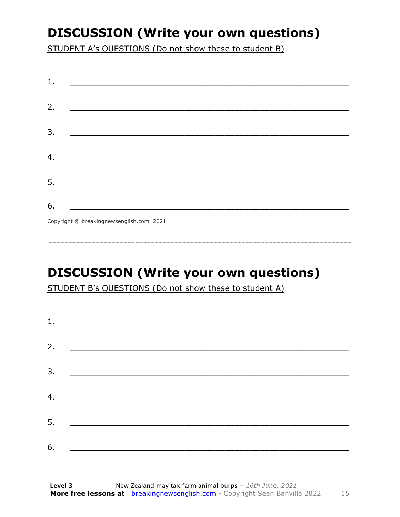### **DISCUSSION (Write your own questions)**

STUDENT A's QUESTIONS (Do not show these to student B)

| 1. |                                          |
|----|------------------------------------------|
|    |                                          |
| 2. |                                          |
|    |                                          |
| 3. |                                          |
|    |                                          |
| 4. |                                          |
|    |                                          |
| 5. |                                          |
|    |                                          |
| 6. |                                          |
|    | Copyright © breakingnewsenglish.com 2021 |

### **DISCUSSION (Write your own questions)**

STUDENT B's QUESTIONS (Do not show these to student A)

| 1. |                                                                                                                         |  |  |
|----|-------------------------------------------------------------------------------------------------------------------------|--|--|
|    |                                                                                                                         |  |  |
| 2. | <u> 1980 - Antonio Alemania, prima prestava postala de la provincia de la provincia de la provincia de la provincia</u> |  |  |
| 3. | <u> 1980 - Andrea Andrew Maria (h. 1980).</u>                                                                           |  |  |
|    |                                                                                                                         |  |  |
| 4. | <u> 1980 - Jan Barbara Barat, martin da basar da basar da basar da basar da basar da basar da basar da basar da b</u>   |  |  |
| 5. | <u> 1986 - Johann Stoff, deutscher Stoff und der Stoff und der Stoff und der Stoff und der Stoff und der Stoff und</u>  |  |  |
|    |                                                                                                                         |  |  |
| 6. |                                                                                                                         |  |  |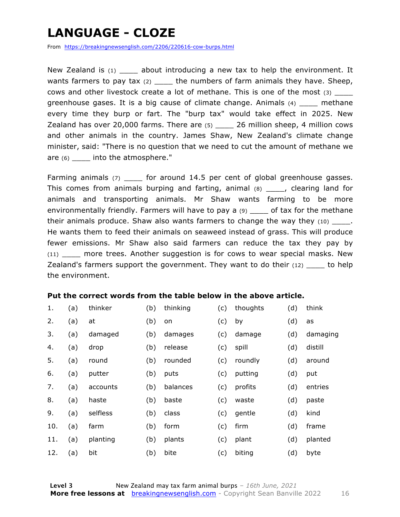### **LANGUAGE - CLOZE**

From https://breakingnewsenglish.com/2206/220616-cow-burps.html

New Zealand is  $(1)$  about introducing a new tax to help the environment. It wants farmers to pay tax  $(2)$  \_\_\_\_ the numbers of farm animals they have. Sheep, cows and other livestock create a lot of methane. This is one of the most (3) \_\_\_\_ greenhouse gases. It is a big cause of climate change. Animals  $(4)$  methane every time they burp or fart. The "burp tax" would take effect in 2025. New Zealand has over 20,000 farms. There are  $(5)$  26 million sheep, 4 million cows and other animals in the country. James Shaw, New Zealand's climate change minister, said: "There is no question that we need to cut the amount of methane we are (6) \_\_\_\_\_ into the atmosphere."

Farming animals (7) \_\_\_\_\_ for around 14.5 per cent of global greenhouse gasses. This comes from animals burping and farting, animal (8) \_\_\_\_, clearing land for animals and transporting animals. Mr Shaw wants farming to be more environmentally friendly. Farmers will have to pay a (9) \_\_\_\_ of tax for the methane their animals produce. Shaw also wants farmers to change the way they  $(10)$  \_\_\_\_\_. He wants them to feed their animals on seaweed instead of grass. This will produce fewer emissions. Mr Shaw also said farmers can reduce the tax they pay by (11) \_\_\_\_ more trees. Another suggestion is for cows to wear special masks. New Zealand's farmers support the government. They want to do their  $(12)$  to help the environment.

#### **Put the correct words from the table below in the above article.**

| 1.  | (a) | thinker  | (b) | thinking | (c) | thoughts | (d) | think    |
|-----|-----|----------|-----|----------|-----|----------|-----|----------|
| 2.  | (a) | at       | (b) | on       | (c) | by       | (d) | as       |
| 3.  | (a) | damaged  | (b) | damages  | (c) | damage   | (d) | damaging |
| 4.  | (a) | drop     | (b) | release  | (c) | spill    | (d) | distill  |
| 5.  | (a) | round    | (b) | rounded  | (c) | roundly  | (d) | around   |
| 6.  | (a) | putter   | (b) | puts     | (c) | putting  | (d) | put      |
| 7.  | (a) | accounts | (b) | balances | (c) | profits  | (d) | entries  |
| 8.  | (a) | haste    | (b) | baste    | (c) | waste    | (d) | paste    |
| 9.  | (a) | selfless | (b) | class    | (c) | gentle   | (d) | kind     |
| 10. | (a) | farm     | (b) | form     | (c) | firm     | (d) | frame    |
| 11. | (a) | planting | (b) | plants   | (c) | plant    | (d) | planted  |
| 12. | (a) | bit      | (b) | bite     | (c) | biting   | (d) | byte     |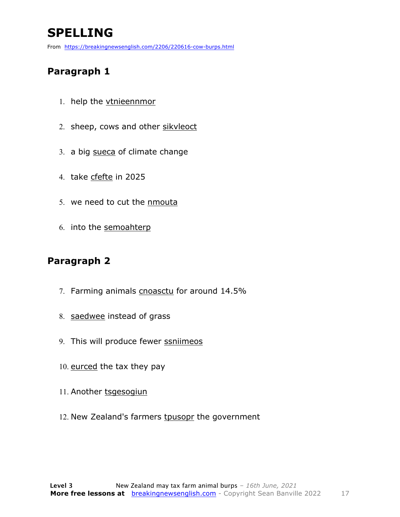### **SPELLING**

From https://breakingnewsenglish.com/2206/220616-cow-burps.html

#### **Paragraph 1**

- 1. help the vtnieennmor
- 2. sheep, cows and other sikvleoct
- 3. a big sueca of climate change
- 4. take cfefte in 2025
- 5. we need to cut the nmouta
- 6. into the semoahterp

#### **Paragraph 2**

- 7. Farming animals cnoasctu for around 14.5%
- 8. saedwee instead of grass
- 9. This will produce fewer ssniimeos
- 10. eurced the tax they pay
- 11. Another tsgesogiun
- 12. New Zealand's farmers tpusopr the government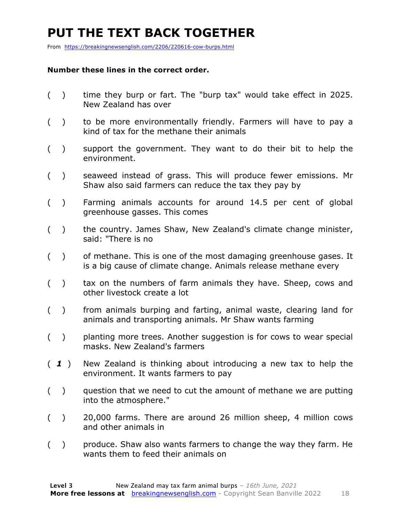### **PUT THE TEXT BACK TOGETHER**

From https://breakingnewsenglish.com/2206/220616-cow-burps.html

#### **Number these lines in the correct order.**

- ( ) time they burp or fart. The "burp tax" would take effect in 2025. New Zealand has over
- ( ) to be more environmentally friendly. Farmers will have to pay a kind of tax for the methane their animals
- ( ) support the government. They want to do their bit to help the environment.
- ( ) seaweed instead of grass. This will produce fewer emissions. Mr Shaw also said farmers can reduce the tax they pay by
- ( ) Farming animals accounts for around 14.5 per cent of global greenhouse gasses. This comes
- ( ) the country. James Shaw, New Zealand's climate change minister, said: "There is no
- ( ) of methane. This is one of the most damaging greenhouse gases. It is a big cause of climate change. Animals release methane every
- ( ) tax on the numbers of farm animals they have. Sheep, cows and other livestock create a lot
- ( ) from animals burping and farting, animal waste, clearing land for animals and transporting animals. Mr Shaw wants farming
- ( ) planting more trees. Another suggestion is for cows to wear special masks. New Zealand's farmers
- ( *1* ) New Zealand is thinking about introducing a new tax to help the environment. It wants farmers to pay
- ( ) question that we need to cut the amount of methane we are putting into the atmosphere."
- ( ) 20,000 farms. There are around 26 million sheep, 4 million cows and other animals in
- ( ) produce. Shaw also wants farmers to change the way they farm. He wants them to feed their animals on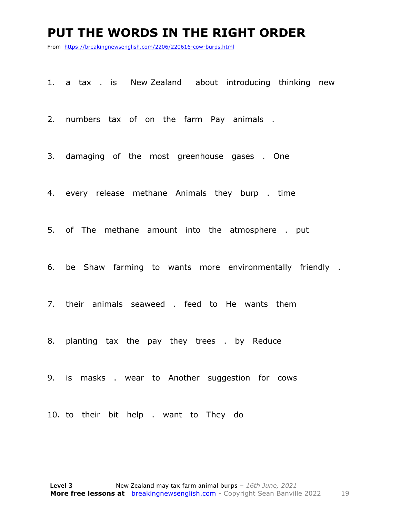#### **PUT THE WORDS IN THE RIGHT ORDER**

From https://breakingnewsenglish.com/2206/220616-cow-burps.html

1. a tax . is New Zealand about introducing thinking new

2. numbers tax of on the farm Pay animals .

3. damaging of the most greenhouse gases . One

4. every release methane Animals they burp . time

5. of The methane amount into the atmosphere . put

6. be Shaw farming to wants more environmentally friendly .

7. their animals seaweed . feed to He wants them

8. planting tax the pay they trees . by Reduce

9. is masks . wear to Another suggestion for cows

10. to their bit help . want to They do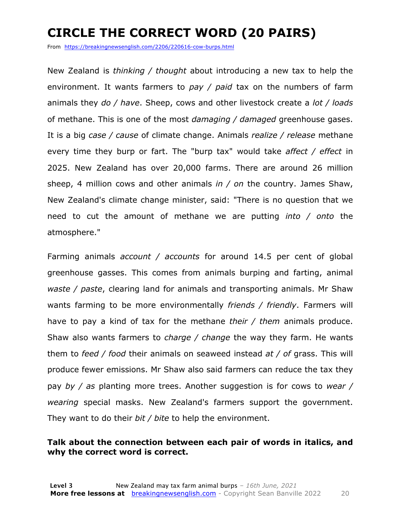### **CIRCLE THE CORRECT WORD (20 PAIRS)**

From https://breakingnewsenglish.com/2206/220616-cow-burps.html

New Zealand is *thinking / thought* about introducing a new tax to help the environment. It wants farmers to *pay / paid* tax on the numbers of farm animals they *do / have*. Sheep, cows and other livestock create a *lot / loads* of methane. This is one of the most *damaging / damaged* greenhouse gases. It is a big *case / cause* of climate change. Animals *realize / release* methane every time they burp or fart. The "burp tax" would take *affect / effect* in 2025. New Zealand has over 20,000 farms. There are around 26 million sheep, 4 million cows and other animals *in / on* the country. James Shaw, New Zealand's climate change minister, said: "There is no question that we need to cut the amount of methane we are putting *into / onto* the atmosphere."

Farming animals *account / accounts* for around 14.5 per cent of global greenhouse gasses. This comes from animals burping and farting, animal *waste / paste*, clearing land for animals and transporting animals. Mr Shaw wants farming to be more environmentally *friends / friendly*. Farmers will have to pay a kind of tax for the methane *their / them* animals produce. Shaw also wants farmers to *charge / change* the way they farm. He wants them to *feed / food* their animals on seaweed instead *at / of* grass. This will produce fewer emissions. Mr Shaw also said farmers can reduce the tax they pay *by / as* planting more trees. Another suggestion is for cows to *wear / wearing* special masks. New Zealand's farmers support the government. They want to do their *bit / bite* to help the environment.

#### **Talk about the connection between each pair of words in italics, and why the correct word is correct.**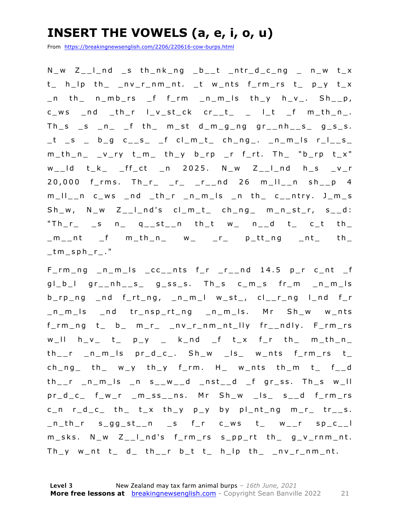### **INSERT THE VOWELS (a, e, i, o, u)**

From https://breakingnewsenglish.com/2206/220616-cow-burps.html

 $N_{w}$   $Z_{-1}$  nd s th\_nk\_ng  $_b$ \_t \_ntr\_d\_c\_ng \_ n\_w t\_x t\_ h\_lp th\_ \_nv\_r\_nm\_nt. \_t w\_nts f\_rm\_rs t\_ p\_y t\_x  $n_$  th  $n_m$  n  $n_$  f  $n_m$   $n_m$  is th  $y$   $h_$   $v_$ . Sh  $n_$  $c_{ws}$   $nd$   $-th_{r}$   $l_{y_st}$ ck  $cr_{-t_{-}}$   $l_{t_{-}}$   $ft$   $m_{th_{-}}$ .  $Th_s$   $_s$   $n$   $_f$  th  $m_st$   $d_m$   $g_n$   $g_r$   $nh_s$   $g_s$   $g_s$ . \_t \_s \_ b\_g c\_\_s\_ \_f cl\_m\_t\_ ch\_ng\_. \_n\_m\_ls r\_l\_\_s\_  $m_th_n$  \_v\_ry t\_m\_ th\_y b\_rp \_r f\_rt. Th\_ "b\_rp t\_x"  $w_l$  t\_k\_ \_ff\_ct \_n 2025. N\_w Z\_\_l\_nd h\_s \_v\_r 20,000 f\_rms. Th\_r\_ \_r\_ \_r\_\_nd 26 m\_ll\_\_n sh\_\_p 4 m\_ll\_\_n c\_ws \_nd \_th\_r \_ n\_m\_ls \_n th\_ c\_\_ntry. J\_m\_s  $Sh_w$ ,  $N_w$   $Z_{\_}$  | nd's  $cl_m_t$  ch\_ng\_ m\_n\_st\_r, s\_\_d: "Th\_r\_ \_s n\_ q\_\_st\_\_n th\_t w\_ n\_\_d t\_ c\_t th\_  $\text{m}_{-}$ nt \_f m\_th\_n\_ w\_ \_r\_ p\_tt\_ng \_nt\_ th\_  $t$ m\_sph\_r $.$ "

F\_rm\_ng \_n\_m\_ls \_cc\_\_nts f\_r \_r\_\_nd 14.5 p\_r c\_nt \_f  $gl_b$  gr\_nh\_s\_ g\_ss\_s. Th\_s c\_m\_s fr\_m \_n\_m\_ls b\_rp\_ng \_nd f\_rt\_ng, \_n\_m\_l w\_st\_, cl\_\_r\_ng l\_nd f\_r \_n\_m\_ls \_nd tr\_nsp\_rt\_ng \_n\_m\_ls. Mr Sh\_w w\_nts f\_rm\_ng t\_ b\_ m\_r\_ \_nv\_r\_nm\_nt\_lly fr\_\_ndly. F\_rm\_rs  $w_l$  iii h\_v\_ t\_ p\_y \_ k\_nd \_f t\_x f\_r th\_ m\_th\_n\_  $th_{--}r$  \_n\_m\_ls  $pr_d_c$ . Sh\_w \_ls\_ w\_nts f\_rm\_rs  $t_{-}$  $ch_ng$  th  $w_y$  th  $y$  frm. H  $w_n$ nts th  $m$  t f  $-d$ th\_\_r \_n\_m\_ls \_n s\_\_w\_\_d \_nst\_\_d \_f gr\_ss. Th\_s w\_ll pr\_d\_c\_ f\_w\_r \_m\_ss\_\_ns. Mr Sh\_w \_ls\_ s\_\_d f\_rm\_rs  $c_n$  r\_d\_c\_ th\_ t\_x th\_y p\_y by pl\_nt\_ng m\_r\_ tr\_\_s.  $n_th_r$  s\_gg\_st\_n \_s f\_r c\_ws t\_ w\_r sp\_c\_\_l m\_sks. N\_w Z\_\_l\_nd's f\_rm\_rs s\_pp\_rt th\_ g\_v\_rnm\_nt.  $Th_y$  w\_nt t\_ d\_ th\_\_r b\_t t\_ h\_lp th\_ \_nv\_r\_nm\_nt.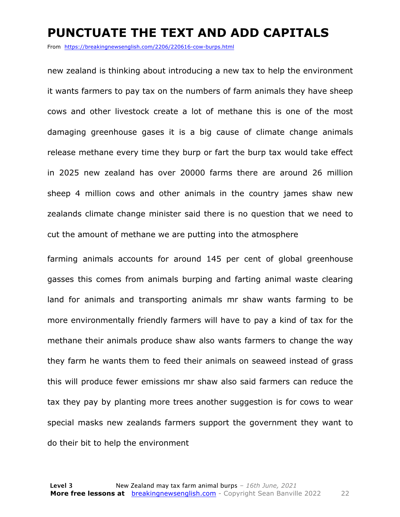#### **PUNCTUATE THE TEXT AND ADD CAPITALS**

From https://breakingnewsenglish.com/2206/220616-cow-burps.html

new zealand is thinking about introducing a new tax to help the environment it wants farmers to pay tax on the numbers of farm animals they have sheep cows and other livestock create a lot of methane this is one of the most damaging greenhouse gases it is a big cause of climate change animals release methane every time they burp or fart the burp tax would take effect in 2025 new zealand has over 20000 farms there are around 26 million sheep 4 million cows and other animals in the country james shaw new zealands climate change minister said there is no question that we need to cut the amount of methane we are putting into the atmosphere

farming animals accounts for around 145 per cent of global greenhouse gasses this comes from animals burping and farting animal waste clearing land for animals and transporting animals mr shaw wants farming to be more environmentally friendly farmers will have to pay a kind of tax for the methane their animals produce shaw also wants farmers to change the way they farm he wants them to feed their animals on seaweed instead of grass this will produce fewer emissions mr shaw also said farmers can reduce the tax they pay by planting more trees another suggestion is for cows to wear special masks new zealands farmers support the government they want to do their bit to help the environment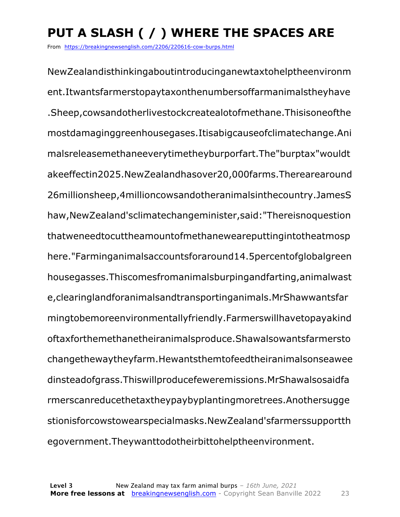### **PUT A SLASH ( / ) WHERE THE SPACES ARE**

From https://breakingnewsenglish.com/2206/220616-cow-burps.html

NewZealandisthinkingaboutintroducinganewtaxtohelptheenvironm ent.Itwantsfarmerstopaytaxonthenumbersoffarmanimalstheyhave .Sheep,cowsandotherlivestockcreatealotofmethane.Thisisoneofthe mostdamaginggreenhousegases.Itisabigcauseofclimatechange.Ani malsreleasemethaneeverytimetheyburporfart.The"burptax"wouldt akeeffectin2025.NewZealandhasover20,000farms.Therearearound 26millionsheep,4millioncowsandotheranimalsinthecountry.JamesS haw,NewZealand'sclimatechangeminister,said:"Thereisnoquestion thatweneedtocuttheamountofmethaneweareputtingintotheatmosp here."Farminganimalsaccountsforaround14.5percentofglobalgreen housegasses.Thiscomesfromanimalsburpingandfarting,animalwast e,clearinglandforanimalsandtransportinganimals.MrShawwantsfar mingtobemoreenvironmentallyfriendly.Farmerswillhavetopayakind oftaxforthemethanetheiranimalsproduce.Shawalsowantsfarmersto changethewaytheyfarm.Hewantsthemtofeedtheiranimalsonseawee dinsteadofgrass.Thiswillproducefeweremissions.MrShawalsosaidfa rmerscanreducethetaxtheypaybyplantingmoretrees.Anothersugge stionisforcowstowearspecialmasks.NewZealand'sfarmerssupportth egovernment.Theywanttodotheirbittohelptheenvironment.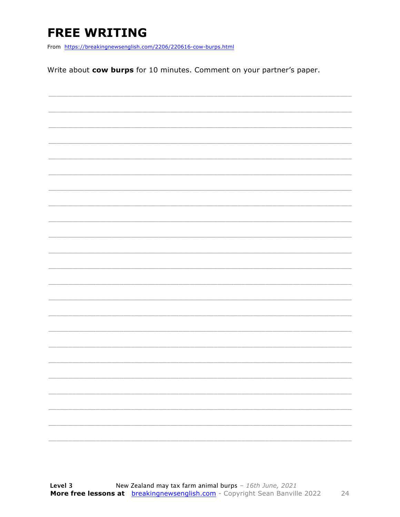### **FREE WRITING**

From https://breakingnewsenglish.com/2206/220616-cow-burps.html

Write about cow burps for 10 minutes. Comment on your partner's paper.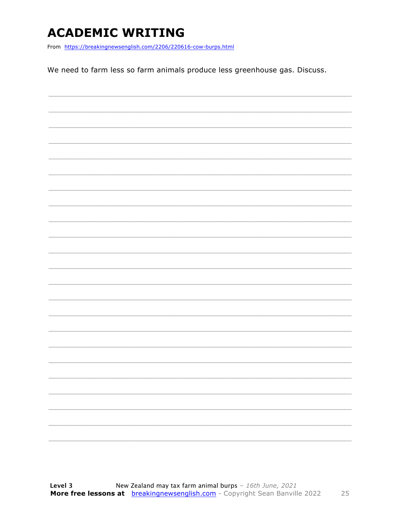### **ACADEMIC WRITING**

From https://breakingnewsenglish.com/2206/220616-cow-burps.html

We need to farm less so farm animals produce less greenhouse gas. Discuss.

|  | - |
|--|---|
|  |   |
|  |   |
|  | - |
|  |   |
|  |   |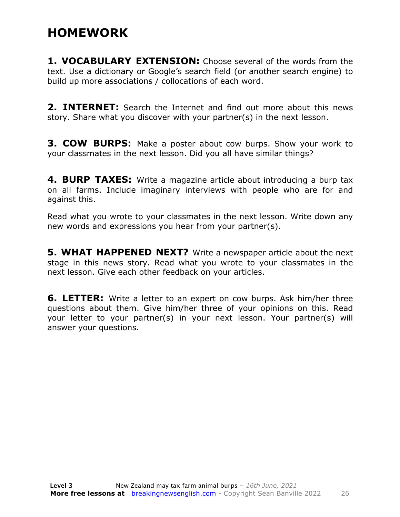### **HOMEWORK**

**1. VOCABULARY EXTENSION:** Choose several of the words from the text. Use a dictionary or Google's search field (or another search engine) to build up more associations / collocations of each word.

**2. INTERNET:** Search the Internet and find out more about this news story. Share what you discover with your partner(s) in the next lesson.

**3. COW BURPS:** Make a poster about cow burps. Show your work to your classmates in the next lesson. Did you all have similar things?

**4. BURP TAXES:** Write a magazine article about introducing a burp tax on all farms. Include imaginary interviews with people who are for and against this.

Read what you wrote to your classmates in the next lesson. Write down any new words and expressions you hear from your partner(s).

**5. WHAT HAPPENED NEXT?** Write a newspaper article about the next stage in this news story. Read what you wrote to your classmates in the next lesson. Give each other feedback on your articles.

**6. LETTER:** Write a letter to an expert on cow burps. Ask him/her three questions about them. Give him/her three of your opinions on this. Read your letter to your partner(s) in your next lesson. Your partner(s) will answer your questions.